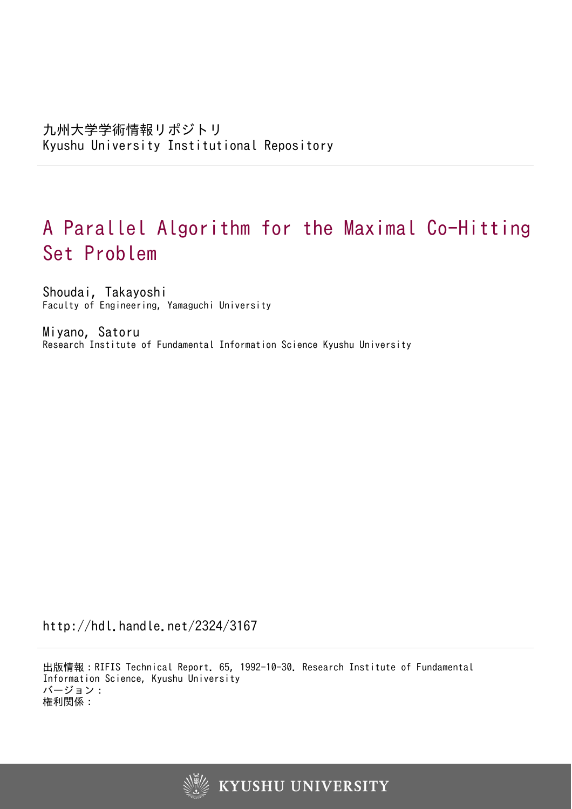# A Parallel Algorithm for the Maximal Co-Hitting Set Problem

Shoudai, Takayoshi Faculty of Engineering, Yamaguchi University

Miyano, Satoru Research Institute of Fundamental Information Science Kyushu University

http://hdl.handle.net/2324/3167

出版情報:RIFIS Technical Report. 65, 1992-10-30. Research Institute of Fundamental Information Science, Kyushu University バージョン: 権利関係:

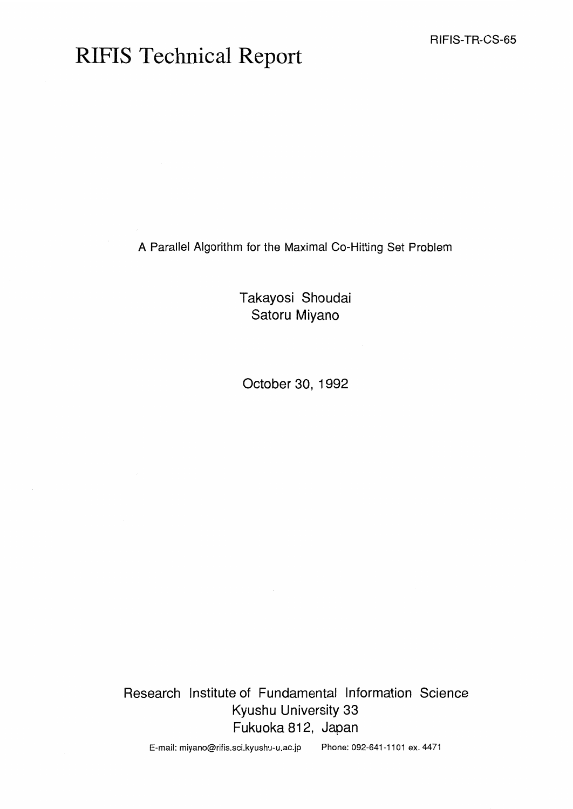# RIFIS Technical Report

A Parallel Algorithm for the Maximal Co-Hitting Set Problem

Takayosi Shoudai Satoru Miyano

October 30, 1992

Research Institute of Fundamental Information Science Kyushu University 33 Fukuoka 812, Japan

E-mail: miyano@rifis.sci.kyushu-u.ac.jp Phone: 092-641 -1 101 ex. 4471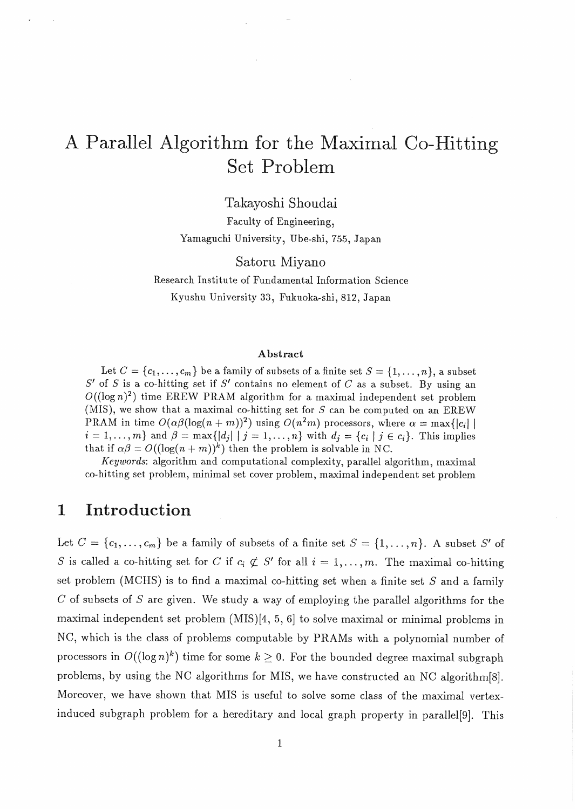## A Parallel Algorithm for the Maximal Co-Hitting Set Prob

Takayoshi Shoudai

Faculty of Engineering, Yamaguchi University, Ube-shi, 755, Japan

Satoru Miyano Research Institute of Fundamental Information Science

Kyushu University **33,** Fukuoka-shi, 812, Japan

#### **Abstract**

Let  $C = \{c_1, \ldots, c_m\}$  be a family of subsets of a finite set  $S = \{1, \ldots, n\}$ , a subset S' of S is a co-hitting set if S' contains no element of *C* as a subset. By using an  $O((\log n)^2)$  time EREW PRAM algorithm for a maximal independent set problem (MIS), we show that a maximal co-hitting set for  $S$  can be computed on an EREW PRAM in time  $O(\alpha\beta(\log(n + m))^2)$  using  $O(n^2m)$  processors, where  $\alpha = \max\{|c_i| \mid$  $i = 1, \ldots, m$  and  $\beta = \max\{|d_j| | j = 1, \ldots, n\}$  with  $d_j = \{c_i | j \in c_i\}$ . This implies that if  $\alpha\beta = O((\log(n+m))^k)$  then the problem is solvable in NC.

*Keywords*: algorithm and computational complexity, parallel algorithm, maximal co-hitting set problem, minimal set cover problem, maximal independent set problem

### **1** Introduction

Let  $C = \{c_1, \ldots, c_m\}$  be a family of subsets of a finite set  $S = \{1, \ldots, n\}$ . A subset S' of S is called a co-hitting set for C if  $c_i \not\subset S'$  for all  $i = 1, \ldots, m$ . The maximal co-hitting set problem (MCHS) is to find a maximal co-hitting set when a finite set S and **a** family C of subsets of S are given. We study a way of employing the parallel algorithms for the maximal independent set problem (MIS)[4, 5, 61 to solve maximal or minimal problems in NC, which is the class of problems computable by PRAMS with a polynomial number of processors in  $O((\log n)^k)$  time for some  $k \geq 0$ . For the bounded degree maximal subgraph problems, by using the NC algorithms for MIS, we have constructed an NC algorithm [8]. Moreover, we have shown that MIS is useful to solve some class of the maximal vertexinduced subgraph problem for a hereditary and local graph property in parallel[9]. This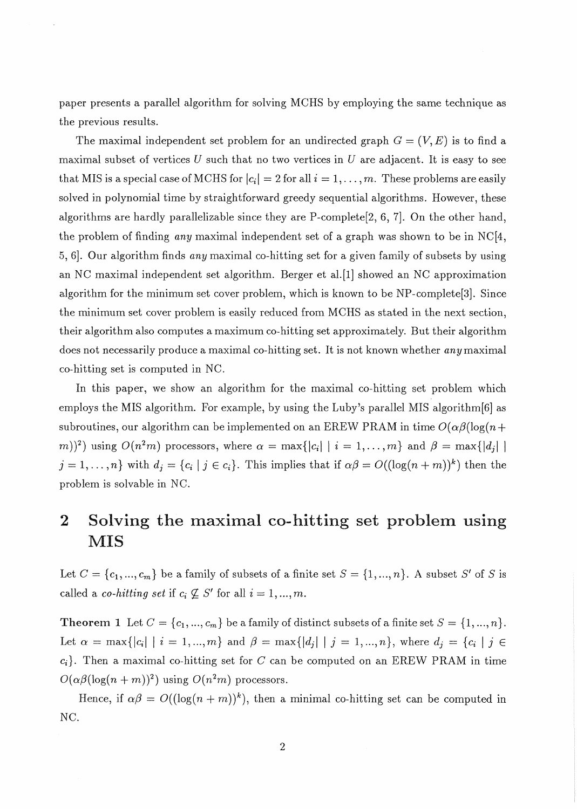paper presents a parallel algorithm for solving MCHS by employing the same technique as the previous results.

The maximal independent set problem for an undirected graph  $G = (V, E)$  is to find a maximal subset of vertices *U* such that no two vertices in *U* are adjacent. It is easy to see that MIS is a special case of MCHS for  $|c_i| = 2$  for all  $i = 1, \ldots, m$ . These problems are easily solved in polynomial time by straightforward greedy sequential algorithms. However, these algorithms are hardly parallelizable since they are P-complete[2, 6, 71. On the other hand, the problem of finding *any* maximal independent set of a graph was shown to be in NC[4, 5, 61. Our algorithm finds *any* maximal co-hitting set for a given family of subsets by using an NC maximal independent set algorithm. Berger et al.[l] showed an NC approximation algorithm for the minimum set cover problem, which is known to be NP-complete[3]. Since the minimum set cover problem is easily reduced from MCHS as stated in the next section, their algorithm also computes a maximum co-hit ting set approximately. But their algorithm does not necessarily produce a maximal co-hitting set. It is not known whether *any* maximal co-hitting set is computed in NC.

In this paper, we show an algorithm for the maximal co-hitting set problem which employs the MIS algorithm. For example, by using the Luby's parallel MIS algorithm[6] as subroutines, our algorithm can be implemented on an EREW PRAM in time  $O(\alpha\beta(\log(n +$ m))<sup>2</sup>) using  $O(n^2m)$  processors, where  $\alpha = \max\{|c_i| \mid i = 1,\ldots,m\}$  and  $\beta = \max\{|d_i| \mid n$  $j = 1, \ldots, n$  with  $d_j = \{c_i \mid j \in c_i\}$ . This implies that if  $\alpha \beta = O((\log(n + m))^k)$  then the problem is solvable in NC.

## **2** Solving the maximal co-hitting set problem using MIS

Let  $C = \{c_1, ..., c_m\}$  be a family of subsets of a finite set  $S = \{1, ..., n\}$ . A subset S' of S is called a *co-hitting set* if  $c_i \not\subseteq S'$  for all  $i = 1, ..., m$ .

**Theorem 1** Let  $C = \{c_1, ..., c_m\}$  be a family of distinct subsets of a finite set  $S = \{1, ..., n\}$ . Let  $\alpha = \max\{|c_i| \mid i = 1, ..., m\}$  and  $\beta = \max\{|d_j| \mid j = 1, ..., n\}$ , where  $d_j = \{c_i \mid j \in$  $c_i$ . Then a maximal co-hitting set for  $C$  can be computed on an EREW PRAM in time  $O(\alpha\beta(\log(n + m))^2)$  using  $O(n^2m)$  processors.

Hence, if  $\alpha\beta = O((\log(n+m))^k)$ , then a minimal co-hitting set can be computed in NC.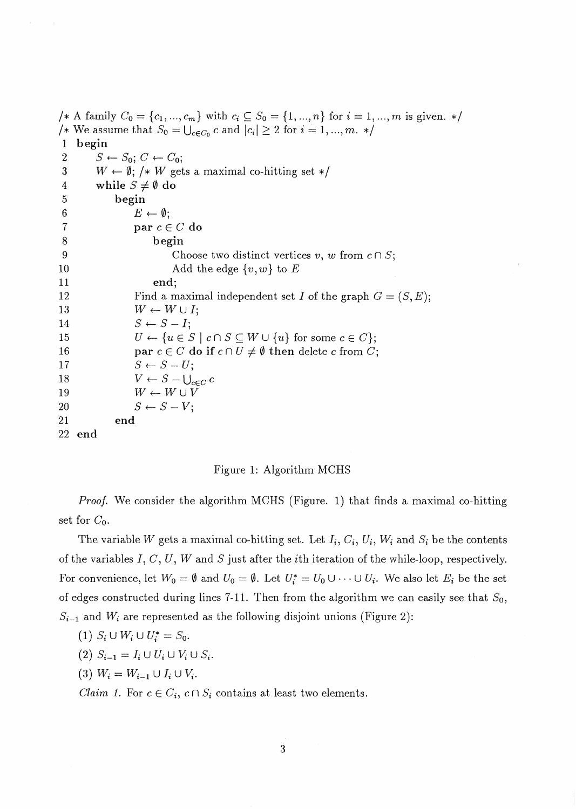/\* A family  $C_0 = \{c_1, ..., c_m\}$  with  $c_i \subseteq S_0 = \{1, ..., n\}$  for  $i = 1, ..., m$  is given. \*/ /\* We assume that  $S_0 = \bigcup_{c \in C_0} c$  and  $|c_i| \geq 2$  for  $i = 1, ..., m$ . \*/ 1 begin 2  $S \leftarrow S_0; C \leftarrow C_0;$ <br>3  $W \leftarrow \emptyset;$  /\* W get  $W \leftarrow \emptyset$ ; /\* W gets a maximal co-hitting set \*/ 4 while  $S \neq \emptyset$  do<br>5 begin *5* begin 6<br>
7 **par**  $c \in$ par  $c \in C$  do 8 begin 9 Choose two distinct vertices v, w from  $c \cap S$ ; 10 Add the edge  $\{v, w\}$  to E 11 end; 12 Find a maximal independent set I of the graph  $G = (S, E);$ 13  $W \leftarrow W \cup I;$ 14  $S \leftarrow S - I;$ 15  $U \leftarrow \{u \in S \mid c \cap S \subseteq W \cup \{u\} \text{ for some } c \in C\};$ 16 **par**  $c \in C$  do if  $c \cap U \neq \emptyset$  then delete c from C; 17  $S \leftarrow S-U;$ 18  $V \leftarrow S - \bigcup_{c \in C} c$ <br>19  $W \leftarrow W \cup V$  $W \leftarrow W \cup V$ 20  $S \leftarrow S-V;$ 21 end 22 end

#### Figure 1: Algorithm MCHS

Proof. We consider the algorithm MCHS (Figure. 1) that finds a maximal co-hitting set for  $C_0$ .

The variable W gets a maximal co-hitting set. Let  $I_i, C_i, U_i, W_i$  and  $S_i$  be the contents of the variables I, C, U, *W* and S just after the ith iteration of the while-loop, respectively. For convenience, let  $W_0 = \emptyset$  and  $U_0 = \emptyset$ . Let  $U_i^* = U_0 \cup \cdots \cup U_i$ . We also let  $E_i$  be the set of edges constructed during lines 7-11. Then from the algorithm we can easily see that  $S_0$ ,  $S_{i-1}$  and  $W_i$  are represented as the following disjoint unions (Figure 2):

$$
(1) S_i \cup W_i \cup U_i^* = S_0.
$$

- (2)  $S_{i-1} = I_i \cup U_i \cup V_i \cup S_i$ .
- (3)  $W_i = W_{i-1} \cup I_i \cup V_i$ .

*Claim 1.* For  $c \in C_i$ ,  $c \cap S_i$  contains at least two elements.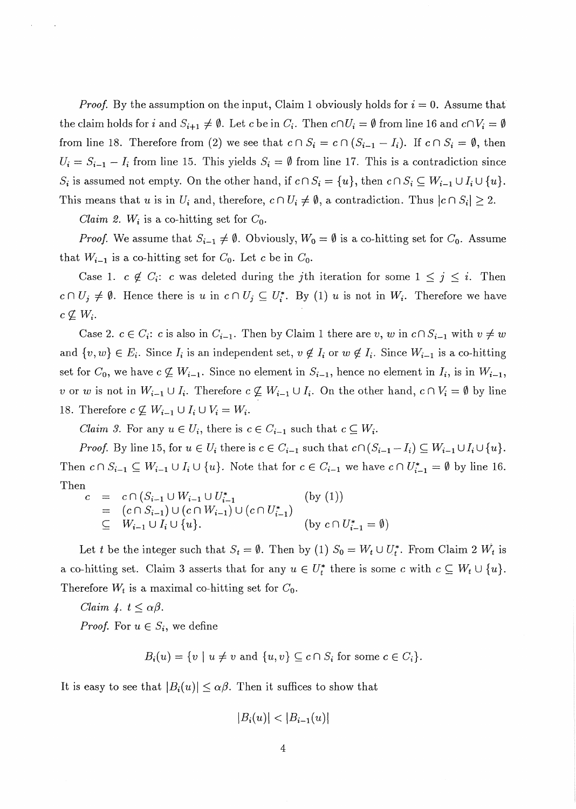*Proof.* By the assumption on the input, Claim 1 obviously holds for  $i = 0$ . Assume that the claim holds for i and  $S_{i+1} \neq \emptyset$ . Let c be in  $C_i$ . Then  $c \cap U_i = \emptyset$  from line 16 and  $c \cap V_i = \emptyset$ from line 18. Therefore from (2) we see that  $c \cap S_i = c \cap (S_{i-1} - I_i)$ . If  $c \cap S_i = \emptyset$ , then  $U_i = S_{i-1} - I_i$  from line 15. This yields  $S_i = \emptyset$  from line 17. This is a contradiction since *S<sub>i</sub>* is assumed not empty. On the other hand, if  $c \cap S_i = \{u\}$ , then  $c \cap S_i \subseteq W_{i-1} \cup I_i \cup \{u\}$ . This means that *u* is in  $U_i$  and, therefore,  $c \cap U_i \neq \emptyset$ , a contradiction. Thus  $|c \cap S_i| \geq 2$ .

*Claim 2.*  $W_i$  is a co-hitting set for  $C_0$ .

*Proof.* We assume that  $S_{i-1} \neq \emptyset$ . Obviously,  $W_0 = \emptyset$  is a co-hitting set for  $C_0$ . Assume that  $W_{i-1}$  is a co-hitting set for  $C_0$ . Let c be in  $C_0$ .

Case 1.  $c \notin C_i$ : c was deleted during the *j*th iteration for some  $1 \leq j \leq i$ . Then  $c \cap U_j \neq \emptyset$ . Hence there is *u* in  $c \cap U_j \subseteq U_i^*$ . By (1) *u* is not in  $W_i$ . Therefore we have  $c \nsubseteq W_i$ .

Case 2.  $c \in C_i$ : *c* is also in  $C_{i-1}$ . Then by Claim 1 there are v, w in  $c \cap S_{i-1}$  with  $v \neq w$ and  $\{v, w\} \in E_i$ . Since  $I_i$  is an independent set,  $v \notin I_i$  or  $w \notin I_i$ . Since  $W_{i-1}$  is a co-hitting set for  $C_0$ , we have  $c \not\subseteq W_{i-1}$ . Since no element in  $S_{i-1}$ , hence no element in  $I_i$ , is in  $W_{i-1}$ , v or w is not in  $W_{i-1} \cup I_i$ . Therefore  $c \not\subseteq W_{i-1} \cup I_i$ . On the other hand,  $c \cap V_i = \emptyset$  by line 18. Therefore  $c \not\subseteq W_{i-1} \cup I_i \cup V_i = W_i$ .

*Claim 3.* For any  $u \in U_i$ , there is  $c \in C_{i-1}$  such that  $c \subseteq W_i$ .

*Proof.* By line 15, for  $u \in U_i$  there is  $c \in C_{i-1}$  such that  $c \cap (S_{i-1} - I_i) \subseteq W_{i-1} \cup I_i \cup \{u\}.$ Then  $c \cap S_{i-1} \subseteq W_{i-1} \cup I_i \cup \{u\}$ . Note that for  $c \in C_{i-1}$  we have  $c \cap U_{i-1}^* = \emptyset$  by line 16. Then

$$
c = c \cap (S_{i-1} \cup W_{i-1} \cup U_{i-1}^*)
$$
  
\n
$$
= (c \cap S_{i-1}) \cup (c \cap W_{i-1}) \cup (c \cap U_{i-1}^*)
$$
  
\n
$$
\subseteq W_{i-1} \cup I_i \cup \{u\}.
$$
  
\n(by (1))  
\n(by c \cap U\_{i-1}^\* = \emptyset)

Let *t* be the integer such that  $S_t = \emptyset$ . Then by (1)  $S_0 = W_t \cup U_t^*$ . From Claim 2  $W_t$  is *a* co-hitting set. Claim 3 asserts that for any  $u \in U_t^*$  there is some c with  $c \subseteq W_t \cup \{u\}$ . Therefore  $W_t$  is a maximal co-hitting set for  $C_0$ .

*Claim 4.*  $t \leq \alpha\beta$ . *Proof.* For  $u \in S_i$ , we define

$$
B_i(u) = \{v \mid u \neq v \text{ and } \{u, v\} \subseteq c \cap S_i \text{ for some } c \in C_i\}.
$$

It is easy to see that  $|B_i(u)| \leq \alpha \beta$ . Then it suffices to show that

$$
|B_i(u)| < |B_{i-1}(u)|
$$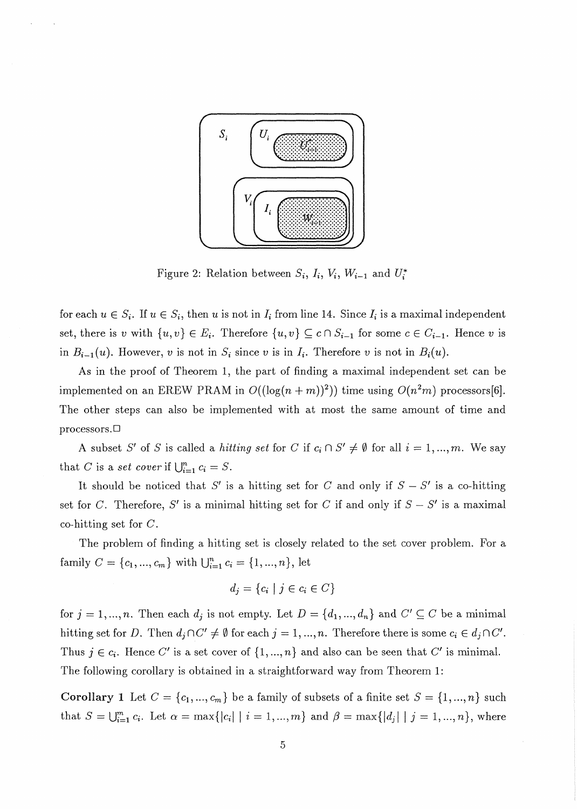

Figure 2: Relation between  $S_i$ ,  $I_i$ ,  $V_i$ ,  $W_{i-1}$  and  $U_i^*$ 

for each  $u \in S_i$ . If  $u \in S_i$ , then u is not in  $I_i$  from line 14. Since  $I_i$  is a maximal independent set, there is v with  $\{u, v\} \in E_i$ . Therefore  $\{u, v\} \subseteq c \cap S_{i-1}$  for some  $c \in C_{i-1}$ . Hence v is in  $B_{i-1}(u)$ . However, v is not in  $S_i$  since v is in  $I_i$ . Therefore v is not in  $B_i(u)$ .

As in the proof of Theorem 1, the part of finding a maximal independent set can be implemented on an EREW PRAM in  $O((\log(n + m))^2)$ ) time using  $O(n^2m)$  processors[6]. The other steps can also be implemented with at most the same amount of time and processors.<sup> $\Box$ </sup>

A subset *S'* of *S* is called a *hitting set* for *C* if  $c_i \n S' \neq \emptyset$  for all  $i = 1, ..., m$ . We say that *C* is a *set cover* if  $\bigcup_{i=1}^{n} c_i = S$ .

It should be noticed that S' is a hitting set for C and only if  $S - S'$  is a co-hitting set for C. Therefore, S' is a minimal hitting set for C if and only if  $S - S'$  is a maximal co-hitting set for  $C$ .

The problem of finding a hitting set is closely related to the set cover problem. For a family  $C = \{c_1, ..., c_m\}$  with  $\bigcup_{i=1}^n c_i = \{1, ..., n\}$ , let

$$
d_j = \{c_i \mid j \in c_i \in C\}
$$

for  $j = 1, ..., n$ . Then each  $d_j$  is not empty. Let  $D = \{d_1, ..., d_n\}$  and  $C' \subseteq C$  be a minimal hitting set for *D*. Then  $d_j \cap C' \neq \emptyset$  for each  $j = 1, ..., n$ . Therefore there is some  $c_i \in d_j \cap C'$ . Thus  $j \in c_i$ . Hence C' is a set cover of  $\{1, ..., n\}$  and also can be seen that C' is minimal. The following corollary is obtained in a straightforward way from Theorem 1:

**Corollary 1** Let  $C = \{c_1, ..., c_m\}$  be a family of subsets of a finite set  $S = \{1, ..., n\}$  such that  $S = \bigcup_{i=1}^{m} c_i$ . Let  $\alpha = \max\{|c_i| \mid i = 1, ..., m\}$  and  $\beta = \max\{|d_j| \mid j = 1, ..., n\}$ , where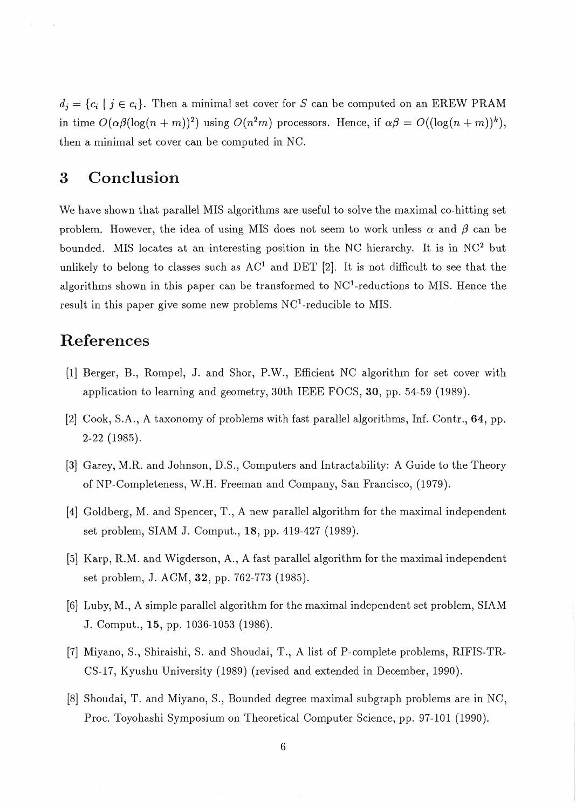$d_i = \{c_i \mid j \in c_i\}$ . Then a minimal set cover for *S* can be computed on an EREW PRAM in time  $O(\alpha\beta(\log(n+m))^2)$  using  $O(n^2m)$  processors. Hence, if  $\alpha\beta = O((\log(n+m))^k)$ , then a minimal set cover can be computed in NC.

#### **3** Conclusion

We have shown that parallel MIS algorithms are useful to solve the maximal co-hitting set problem. However, the idea of using MIS does not seem to work unless  $\alpha$  and  $\beta$  can be bounded. MIS locates at an interesting position in the NC hierarchy. It is in  $NC<sup>2</sup>$  but unlikely to belong to classes such as  $AC<sup>1</sup>$  and DET [2]. It is not difficult to see that the algorithms shown in this paper can be transformed to  $NC<sup>1</sup>$ -reductions to MIS. Hence the result in this paper give some new problems NC'-reducible to MIS.

#### References

- [1] Berger, B., Rompel, J. and Shor, P.W., Efficient NC algorithm for set cover with application to learning and geometry, 30th IEEE FOCS, 30, pp. 54-59 (1989).
- [2] Cook, S.A., A taxonomy of problems with fast parallel algorithms, Inf. Contr., 64, pp. 2-22 (1985).
- [3] Garey, M.R. and Johnson, D.S., Computers and Intractability: A Guide to the Theory of NP-Completeness, W.H. Freeman and Company, San Francisco, (1979).
- [4] Goldberg, M. and Spencer, T., A new parallel algorithm for the maximal independent set problem, SIAM J. Comput., 18, pp. 419-427 (1989).
- [5] Karp, R.M. and Wigderson, A., A fast parallel algorithm for the maximal independent set problem, J. ACM, 32, pp. 762-773 (1985).
- [6] Luby, M., A simple parallel algorithm for the maximal independent set problem, SIAM J. Comput., 15, pp. 1036-1053 (1986).
- [7] Miyano, S., Shiraishi, S. and Shoudai, T., A list of P-complete problems, RIFIS-TR-CS-17, Kyushu University (1989) (revised and extended in December, 1990).
- [8] Shoudai, T. and Miyano, S., Bounded degree maximal subgraph problems are in NC, Proc. Toyohashi Symposium on Theoretical Computer Science, pp. 97-101 (1990).